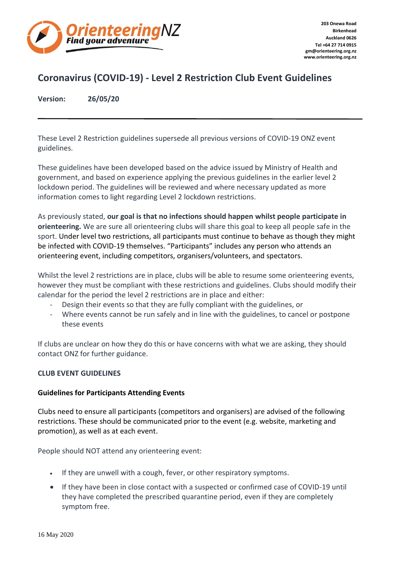

# **Coronavirus (COVID-19) - Level 2 Restriction Club Event Guidelines**

**Version: 26/05/20**

These Level 2 Restriction guidelines supersede all previous versions of COVID-19 ONZ event guidelines.

These guidelines have been developed based on the advice issued by Ministry of Health and government, and based on experience applying the previous guidelines in the earlier level 2 lockdown period. The guidelines will be reviewed and where necessary updated as more information comes to light regarding Level 2 lockdown restrictions.

As previously stated, **our goal is that no infections should happen whilst people participate in orienteering.** We are sure all orienteering clubs will share this goal to keep all people safe in the sport. Under level two restrictions, all participants must continue to behave as though they might be infected with COVID-19 themselves. "Participants" includes any person who attends an orienteering event, including competitors, organisers/volunteers, and spectators.

Whilst the level 2 restrictions are in place, clubs will be able to resume some orienteering events, however they must be compliant with these restrictions and guidelines. Clubs should modify their calendar for the period the level 2 restrictions are in place and either:

- Design their events so that they are fully compliant with the guidelines, or
- Where events cannot be run safely and in line with the guidelines, to cancel or postpone these events

If clubs are unclear on how they do this or have concerns with what we are asking, they should contact ONZ for further guidance.

# **CLUB EVENT GUIDELINES**

# **Guidelines for Participants Attending Events**

Clubs need to ensure all participants (competitors and organisers) are advised of the following restrictions. These should be communicated prior to the event (e.g. website, marketing and promotion), as well as at each event.

People should NOT attend any orienteering event:

- If they are unwell with a cough, fever, or other respiratory symptoms.
- If they have been in close contact with a suspected or confirmed case of COVID-19 until they have completed the prescribed quarantine period, even if they are completely symptom free.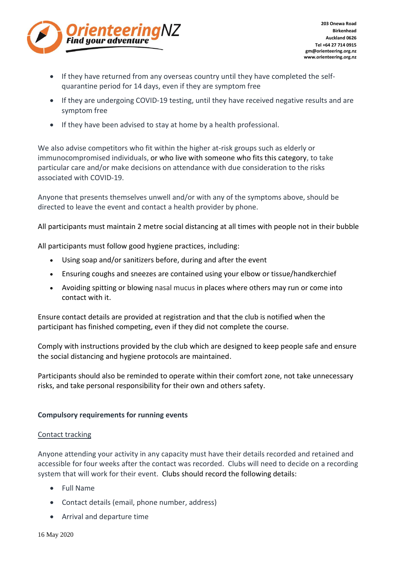

- If they have returned from any overseas country until they have completed the selfquarantine period for 14 days, even if they are symptom free
- If they are undergoing COVID-19 testing, until they have received negative results and are symptom free
- If they have been advised to stay at home by a health professional.

We also advise competitors who fit within the higher at-risk groups such as elderly or immunocompromised individuals, or who live with someone who fits this category, to take particular care and/or make decisions on attendance with due consideration to the risks associated with COVID-19.

Anyone that presents themselves unwell and/or with any of the symptoms above, should be directed to leave the event and contact a health provider by phone.

All participants must maintain 2 metre social distancing at all times with people not in their bubble

All participants must follow good hygiene practices, including:

- Using soap and/or sanitizers before, during and after the event
- Ensuring coughs and sneezes are contained using your elbow or tissue/handkerchief
- Avoiding spitting or blowing nasal mucus in places where others may run or come into contact with it.

Ensure contact details are provided at registration and that the club is notified when the participant has finished competing, even if they did not complete the course.

Comply with instructions provided by the club which are designed to keep people safe and ensure the social distancing and hygiene protocols are maintained.

Participants should also be reminded to operate within their comfort zone, not take unnecessary risks, and take personal responsibility for their own and others safety.

# **Compulsory requirements for running events**

#### Contact tracking

Anyone attending your activity in any capacity must have their details recorded and retained and accessible for four weeks after the contact was recorded. Clubs will need to decide on a recording system that will work for their event. Clubs should record the following details:

- Full Name
- Contact details (email, phone number, address)
- Arrival and departure time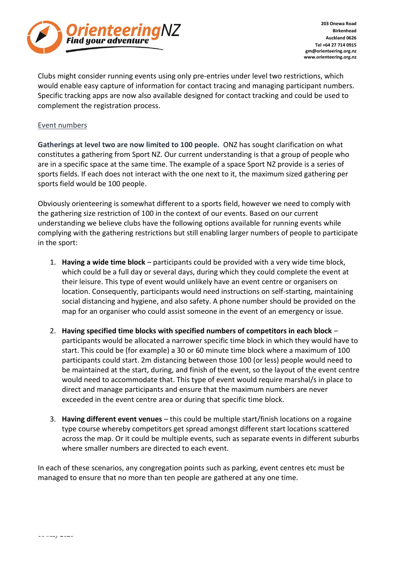

Clubs might consider running events using only pre-entries under level two restrictions, which would enable easy capture of information for contact tracing and managing participant numbers. Specific tracking apps are now also available designed for contact tracking and could be used to complement the registration process.

### Event numbers

**Gatherings at level two are now limited to 100 people.** ONZ has sought clarification on what constitutes a gathering from Sport NZ. Our current understanding is that a group of people who are in a specific space at the same time. The example of a space Sport NZ provide is a series of sports fields. If each does not interact with the one next to it, the maximum sized gathering per sports field would be 100 people.

Obviously orienteering is somewhat different to a sports field, however we need to comply with the gathering size restriction of 100 in the context of our events. Based on our current understanding we believe clubs have the following options available for running events while complying with the gathering restrictions but still enabling larger numbers of people to participate in the sport:

- 1. **Having a wide time block** participants could be provided with a very wide time block, which could be a full day or several days, during which they could complete the event at their leisure. This type of event would unlikely have an event centre or organisers on location. Consequently, participants would need instructions on self-starting, maintaining social distancing and hygiene, and also safety. A phone number should be provided on the map for an organiser who could assist someone in the event of an emergency or issue.
- 2. **Having specified time blocks with specified numbers of competitors in each block** participants would be allocated a narrower specific time block in which they would have to start. This could be (for example) a 30 or 60 minute time block where a maximum of 100 participants could start. 2m distancing between those 100 (or less) people would need to be maintained at the start, during, and finish of the event, so the layout of the event centre would need to accommodate that. This type of event would require marshal/s in place to direct and manage participants and ensure that the maximum numbers are never exceeded in the event centre area or during that specific time block.
- 3. **Having different event venues** this could be multiple start/finish locations on a rogaine type course whereby competitors get spread amongst different start locations scattered across the map. Or it could be multiple events, such as separate events in different suburbs where smaller numbers are directed to each event.

In each of these scenarios, any congregation points such as parking, event centres etc must be managed to ensure that no more than ten people are gathered at any one time.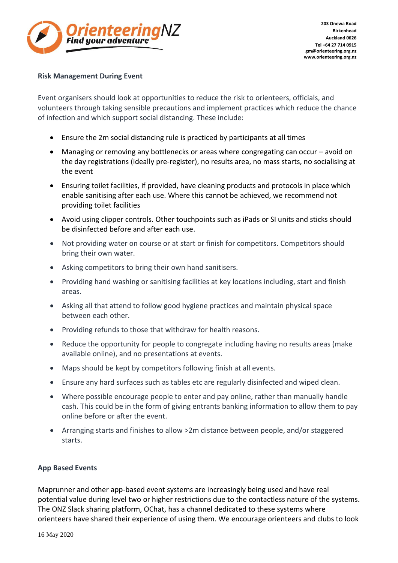

## **Risk Management During Event**

Event organisers should look at opportunities to reduce the risk to orienteers, officials, and volunteers through taking sensible precautions and implement practices which reduce the chance of infection and which support social distancing. These include:

- Ensure the 2m social distancing rule is practiced by participants at all times
- Managing or removing any bottlenecks or areas where congregating can occur avoid on the day registrations (ideally pre-register), no results area, no mass starts, no socialising at the event
- Ensuring toilet facilities, if provided, have cleaning products and protocols in place which enable sanitising after each use. Where this cannot be achieved, we recommend not providing toilet facilities
- Avoid using clipper controls. Other touchpoints such as iPads or SI units and sticks should be disinfected before and after each use.
- Not providing water on course or at start or finish for competitors. Competitors should bring their own water.
- Asking competitors to bring their own hand sanitisers.
- Providing hand washing or sanitising facilities at key locations including, start and finish areas.
- Asking all that attend to follow good hygiene practices and maintain physical space between each other.
- Providing refunds to those that withdraw for health reasons.
- Reduce the opportunity for people to congregate including having no results areas (make available online), and no presentations at events.
- Maps should be kept by competitors following finish at all events.
- Ensure any hard surfaces such as tables etc are regularly disinfected and wiped clean.
- Where possible encourage people to enter and pay online, rather than manually handle cash. This could be in the form of giving entrants banking information to allow them to pay online before or after the event.
- Arranging starts and finishes to allow >2m distance between people, and/or staggered starts.

# **App Based Events**

Maprunner and other app-based event systems are increasingly being used and have real potential value during level two or higher restrictions due to the contactless nature of the systems. The ONZ Slack sharing platform, OChat, has a channel dedicated to these systems where orienteers have shared their experience of using them. We encourage orienteers and clubs to look